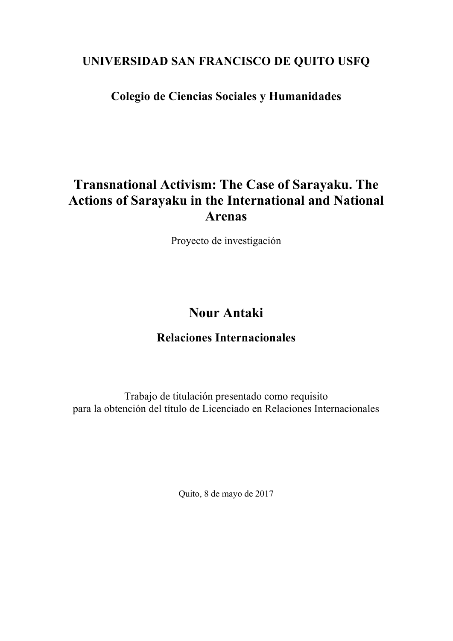### **UNIVERSIDAD SAN FRANCISCO DE QUITO USFQ**

## **Colegio de Ciencias Sociales y Humanidades**

# **Transnational Activism: The Case of Sarayaku. The Actions of Sarayaku in the International and National Arenas**

Proyecto de investigación

# **Nour Antaki**

### **Relaciones Internacionales**

Trabajo de titulación presentado como requisito para la obtención del título de Licenciado en Relaciones Internacionales

Quito, 8 de mayo de 2017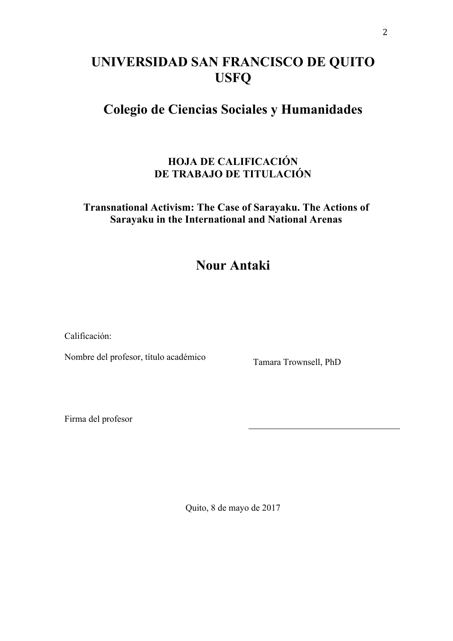# **UNIVERSIDAD SAN FRANCISCO DE QUITO USFQ**

# **Colegio de Ciencias Sociales y Humanidades**

### **HOJA DE CALIFICACIÓN DE TRABAJO DE TITULACIÓN**

### **Transnational Activism: The Case of Sarayaku. The Actions of Sarayaku in the International and National Arenas**

# **Nour Antaki**

Calificación:

Nombre del profesor, título académico Tamara Trownsell, PhD

Firma del profesor

Quito, 8 de mayo de 2017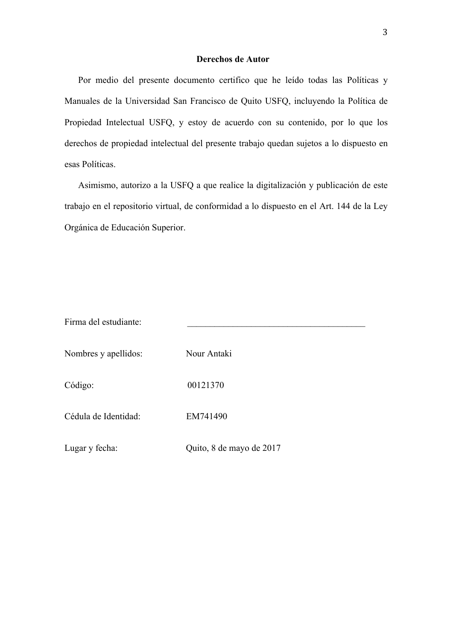#### **Derechos de Autor**

Por medio del presente documento certifico que he leído todas las Políticas y Manuales de la Universidad San Francisco de Quito USFQ, incluyendo la Política de Propiedad Intelectual USFQ, y estoy de acuerdo con su contenido, por lo que los derechos de propiedad intelectual del presente trabajo quedan sujetos a lo dispuesto en esas Políticas.

Asimismo, autorizo a la USFQ a que realice la digitalización y publicación de este trabajo en el repositorio virtual, de conformidad a lo dispuesto en el Art. 144 de la Ley Orgánica de Educación Superior.

| Firma del estudiante: |                          |
|-----------------------|--------------------------|
| Nombres y apellidos:  | Nour Antaki              |
| Código:               | 00121370                 |
| Cédula de Identidad:  | EM741490                 |
| Lugar y fecha:        | Quito, 8 de mayo de 2017 |
|                       |                          |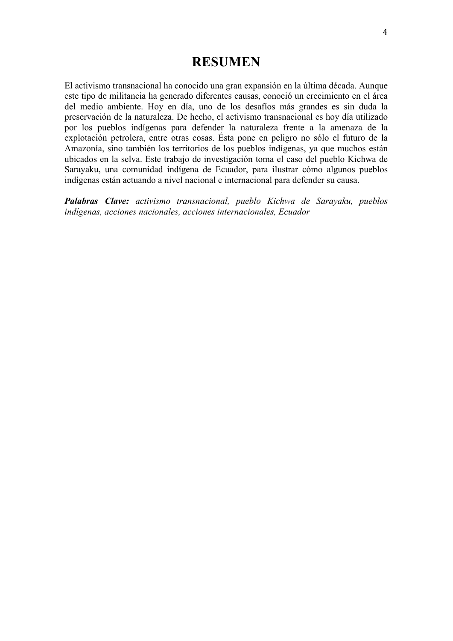### **RESUMEN**

El activismo transnacional ha conocido una gran expansión en la última década. Aunque este tipo de militancia ha generado diferentes causas, conoció un crecimiento en el área del medio ambiente. Hoy en día, uno de los desafíos más grandes es sin duda la preservación de la naturaleza. De hecho, el activismo transnacional es hoy día utilizado por los pueblos indígenas para defender la naturaleza frente a la amenaza de la explotación petrolera, entre otras cosas. Ésta pone en peligro no sólo el futuro de la Amazonía, sino también los territorios de los pueblos indígenas, ya que muchos están ubicados en la selva. Este trabajo de investigación toma el caso del pueblo Kichwa de Sarayaku, una comunidad indígena de Ecuador, para ilustrar cómo algunos pueblos indígenas están actuando a nivel nacional e internacional para defender su causa.

*Palabras Clave: activismo transnacional, pueblo Kichwa de Sarayaku, pueblos indígenas, acciones nacionales, acciones internacionales, Ecuador*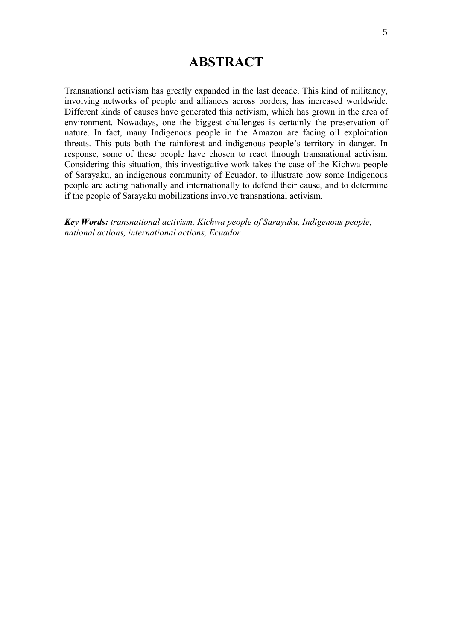### **ABSTRACT**

Transnational activism has greatly expanded in the last decade. This kind of militancy, involving networks of people and alliances across borders, has increased worldwide. Different kinds of causes have generated this activism, which has grown in the area of environment. Nowadays, one the biggest challenges is certainly the preservation of nature. In fact, many Indigenous people in the Amazon are facing oil exploitation threats. This puts both the rainforest and indigenous people's territory in danger. In response, some of these people have chosen to react through transnational activism. Considering this situation, this investigative work takes the case of the Kichwa people of Sarayaku, an indigenous community of Ecuador, to illustrate how some Indigenous people are acting nationally and internationally to defend their cause, and to determine if the people of Sarayaku mobilizations involve transnational activism.

*Key Words: transnational activism, Kichwa people of Sarayaku, Indigenous people, national actions, international actions, Ecuador*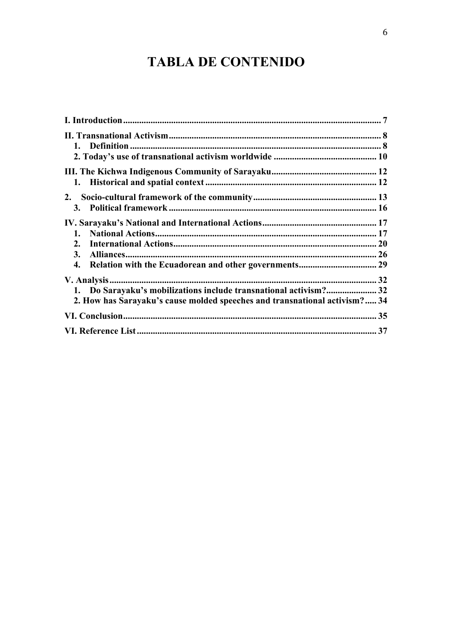# **TABLA DE CONTENIDO**

| 1. Do Sarayaku's mobilizations include transnational activism? 32<br>2. How has Sarayaku's cause molded speeches and transnational activism? 34 |  |
|-------------------------------------------------------------------------------------------------------------------------------------------------|--|
|                                                                                                                                                 |  |
|                                                                                                                                                 |  |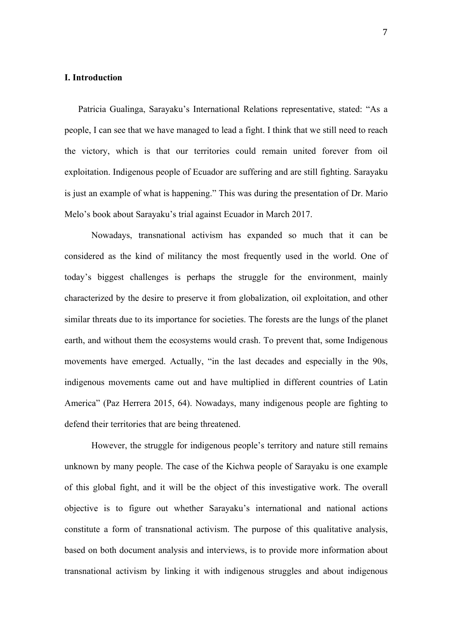#### **I. Introduction**

Patricia Gualinga, Sarayaku's International Relations representative, stated: "As a people, I can see that we have managed to lead a fight. I think that we still need to reach the victory, which is that our territories could remain united forever from oil exploitation. Indigenous people of Ecuador are suffering and are still fighting. Sarayaku is just an example of what is happening." This was during the presentation of Dr. Mario Melo's book about Sarayaku's trial against Ecuador in March 2017.

Nowadays, transnational activism has expanded so much that it can be considered as the kind of militancy the most frequently used in the world. One of today's biggest challenges is perhaps the struggle for the environment, mainly characterized by the desire to preserve it from globalization, oil exploitation, and other similar threats due to its importance for societies. The forests are the lungs of the planet earth, and without them the ecosystems would crash. To prevent that, some Indigenous movements have emerged. Actually, "in the last decades and especially in the 90s, indigenous movements came out and have multiplied in different countries of Latin America" (Paz Herrera 2015, 64). Nowadays, many indigenous people are fighting to defend their territories that are being threatened.

However, the struggle for indigenous people's territory and nature still remains unknown by many people. The case of the Kichwa people of Sarayaku is one example of this global fight, and it will be the object of this investigative work. The overall objective is to figure out whether Sarayaku's international and national actions constitute a form of transnational activism. The purpose of this qualitative analysis, based on both document analysis and interviews, is to provide more information about transnational activism by linking it with indigenous struggles and about indigenous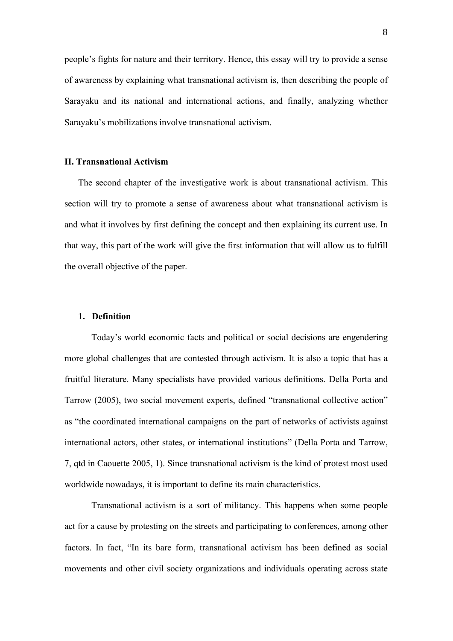people's fights for nature and their territory. Hence, this essay will try to provide a sense of awareness by explaining what transnational activism is, then describing the people of Sarayaku and its national and international actions, and finally, analyzing whether Sarayaku's mobilizations involve transnational activism.

#### **II. Transnational Activism**

The second chapter of the investigative work is about transnational activism. This section will try to promote a sense of awareness about what transnational activism is and what it involves by first defining the concept and then explaining its current use. In that way, this part of the work will give the first information that will allow us to fulfill the overall objective of the paper.

#### **1. Definition**

Today's world economic facts and political or social decisions are engendering more global challenges that are contested through activism. It is also a topic that has a fruitful literature. Many specialists have provided various definitions. Della Porta and Tarrow (2005), two social movement experts, defined "transnational collective action" as "the coordinated international campaigns on the part of networks of activists against international actors, other states, or international institutions" (Della Porta and Tarrow, 7, qtd in Caouette 2005, 1). Since transnational activism is the kind of protest most used worldwide nowadays, it is important to define its main characteristics.

Transnational activism is a sort of militancy. This happens when some people act for a cause by protesting on the streets and participating to conferences, among other factors. In fact, "In its bare form, transnational activism has been defined as social movements and other civil society organizations and individuals operating across state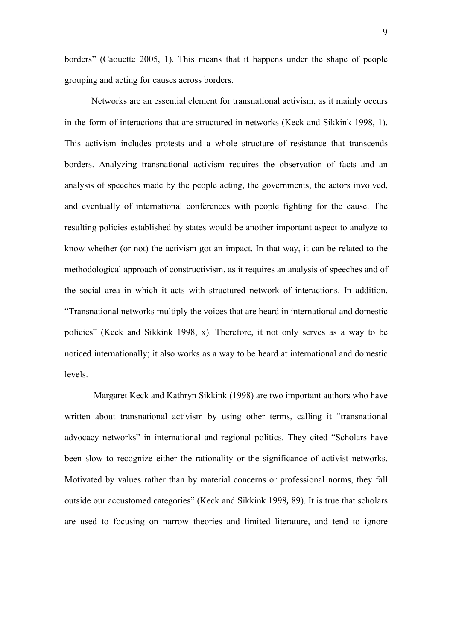borders" (Caouette 2005, 1). This means that it happens under the shape of people grouping and acting for causes across borders.

Networks are an essential element for transnational activism, as it mainly occurs in the form of interactions that are structured in networks (Keck and Sikkink 1998, 1). This activism includes protests and a whole structure of resistance that transcends borders. Analyzing transnational activism requires the observation of facts and an analysis of speeches made by the people acting, the governments, the actors involved, and eventually of international conferences with people fighting for the cause. The resulting policies established by states would be another important aspect to analyze to know whether (or not) the activism got an impact. In that way, it can be related to the methodological approach of constructivism, as it requires an analysis of speeches and of the social area in which it acts with structured network of interactions. In addition, "Transnational networks multiply the voices that are heard in international and domestic policies" (Keck and Sikkink 1998, x). Therefore, it not only serves as a way to be noticed internationally; it also works as a way to be heard at international and domestic levels.

Margaret Keck and Kathryn Sikkink (1998) are two important authors who have written about transnational activism by using other terms, calling it "transnational advocacy networks" in international and regional politics. They cited "Scholars have been slow to recognize either the rationality or the significance of activist networks. Motivated by values rather than by material concerns or professional norms, they fall outside our accustomed categories" (Keck and Sikkink 1998*,* 89). It is true that scholars are used to focusing on narrow theories and limited literature, and tend to ignore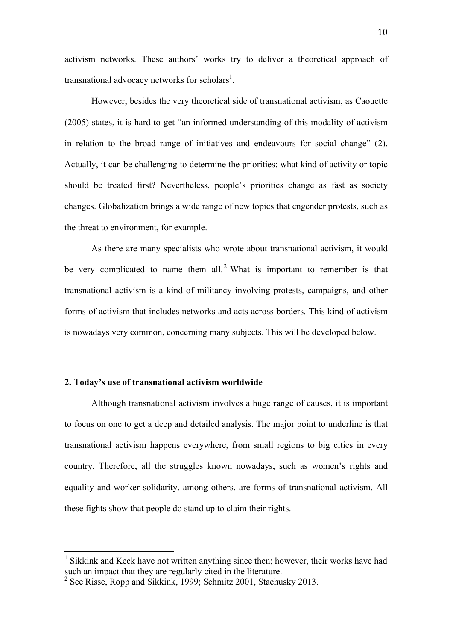activism networks. These authors' works try to deliver a theoretical approach of transnational advocacy networks for scholars<sup>1</sup>.

However, besides the very theoretical side of transnational activism, as Caouette (2005) states, it is hard to get "an informed understanding of this modality of activism in relation to the broad range of initiatives and endeavours for social change" (2). Actually, it can be challenging to determine the priorities: what kind of activity or topic should be treated first? Nevertheless, people's priorities change as fast as society changes. Globalization brings a wide range of new topics that engender protests, such as the threat to environment, for example.

As there are many specialists who wrote about transnational activism, it would be very complicated to name them all.<sup>2</sup> What is important to remember is that transnational activism is a kind of militancy involving protests, campaigns, and other forms of activism that includes networks and acts across borders. This kind of activism is nowadays very common, concerning many subjects. This will be developed below.

#### **2. Today's use of transnational activism worldwide**

Although transnational activism involves a huge range of causes, it is important to focus on one to get a deep and detailed analysis. The major point to underline is that transnational activism happens everywhere, from small regions to big cities in every country. Therefore, all the struggles known nowadays, such as women's rights and equality and worker solidarity, among others, are forms of transnational activism. All these fights show that people do stand up to claim their rights.

<sup>&</sup>lt;sup>1</sup> Sikkink and Keck have not written anything since then; however, their works have had such an impact that they are regularly cited in the literature.

<sup>&</sup>lt;sup>2</sup> See Risse, Ropp and Sikkink, 1999; Schmitz 2001, Stachusky 2013.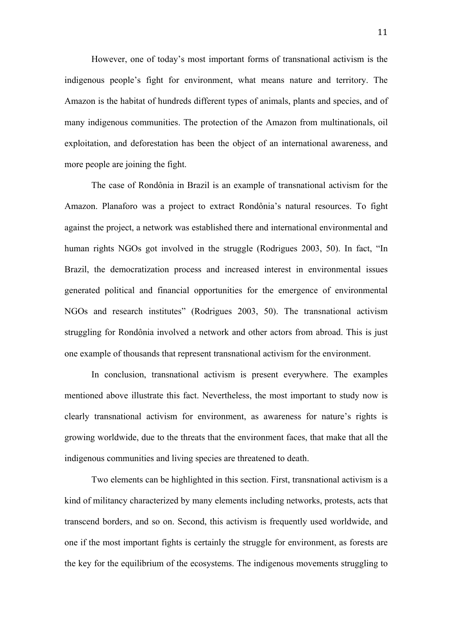However, one of today's most important forms of transnational activism is the indigenous people's fight for environment, what means nature and territory. The Amazon is the habitat of hundreds different types of animals, plants and species, and of many indigenous communities. The protection of the Amazon from multinationals, oil exploitation, and deforestation has been the object of an international awareness, and more people are joining the fight.

The case of Rondônia in Brazil is an example of transnational activism for the Amazon. Planaforo was a project to extract Rondônia's natural resources. To fight against the project, a network was established there and international environmental and human rights NGOs got involved in the struggle (Rodrigues 2003, 50). In fact, "In Brazil, the democratization process and increased interest in environmental issues generated political and financial opportunities for the emergence of environmental NGOs and research institutes" (Rodrigues 2003, 50). The transnational activism struggling for Rondônia involved a network and other actors from abroad. This is just one example of thousands that represent transnational activism for the environment.

In conclusion, transnational activism is present everywhere. The examples mentioned above illustrate this fact. Nevertheless, the most important to study now is clearly transnational activism for environment, as awareness for nature's rights is growing worldwide, due to the threats that the environment faces, that make that all the indigenous communities and living species are threatened to death.

Two elements can be highlighted in this section. First, transnational activism is a kind of militancy characterized by many elements including networks, protests, acts that transcend borders, and so on. Second, this activism is frequently used worldwide, and one if the most important fights is certainly the struggle for environment, as forests are the key for the equilibrium of the ecosystems. The indigenous movements struggling to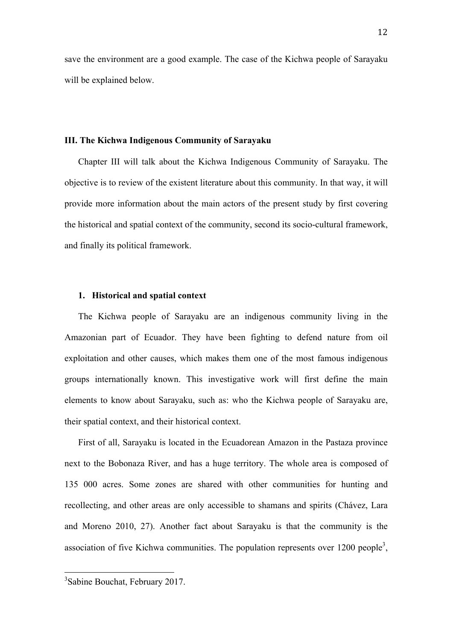save the environment are a good example. The case of the Kichwa people of Sarayaku will be explained below.

#### **III. The Kichwa Indigenous Community of Sarayaku**

Chapter III will talk about the Kichwa Indigenous Community of Sarayaku. The objective is to review of the existent literature about this community. In that way, it will provide more information about the main actors of the present study by first covering the historical and spatial context of the community, second its socio-cultural framework, and finally its political framework.

#### **1. Historical and spatial context**

The Kichwa people of Sarayaku are an indigenous community living in the Amazonian part of Ecuador. They have been fighting to defend nature from oil exploitation and other causes, which makes them one of the most famous indigenous groups internationally known. This investigative work will first define the main elements to know about Sarayaku, such as: who the Kichwa people of Sarayaku are, their spatial context, and their historical context.

First of all, Sarayaku is located in the Ecuadorean Amazon in the Pastaza province next to the Bobonaza River, and has a huge territory. The whole area is composed of 135 000 acres. Some zones are shared with other communities for hunting and recollecting, and other areas are only accessible to shamans and spirits (Chávez, Lara and Moreno 2010, 27). Another fact about Sarayaku is that the community is the association of five Kichwa communities. The population represents over 1200 people<sup>3</sup>,

 <sup>3</sup> Sabine Bouchat, February 2017.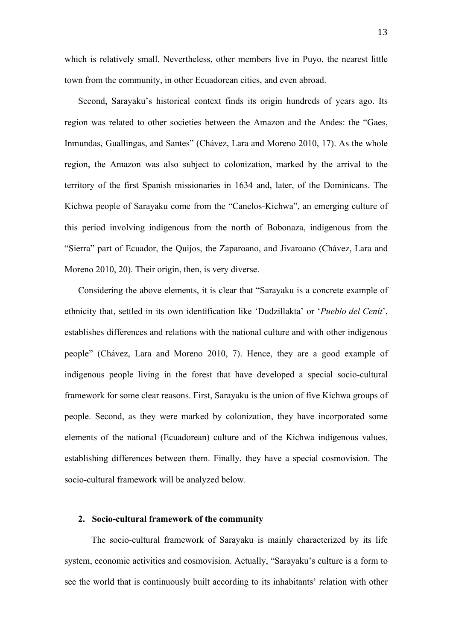which is relatively small. Nevertheless, other members live in Puyo, the nearest little town from the community, in other Ecuadorean cities, and even abroad.

Second, Sarayaku's historical context finds its origin hundreds of years ago. Its region was related to other societies between the Amazon and the Andes: the "Gaes, Inmundas, Guallingas, and Santes" (Chávez, Lara and Moreno 2010, 17). As the whole region, the Amazon was also subject to colonization, marked by the arrival to the territory of the first Spanish missionaries in 1634 and, later, of the Dominicans. The Kichwa people of Sarayaku come from the "Canelos-Kichwa", an emerging culture of this period involving indigenous from the north of Bobonaza, indigenous from the "Sierra" part of Ecuador, the Quijos, the Zaparoano, and Jivaroano (Chávez, Lara and Moreno 2010, 20). Their origin, then, is very diverse.

Considering the above elements, it is clear that "Sarayaku is a concrete example of ethnicity that, settled in its own identification like 'Dudzillakta' or '*Pueblo del Cenit*', establishes differences and relations with the national culture and with other indigenous people" (Chávez, Lara and Moreno 2010, 7). Hence, they are a good example of indigenous people living in the forest that have developed a special socio-cultural framework for some clear reasons. First, Sarayaku is the union of five Kichwa groups of people. Second, as they were marked by colonization, they have incorporated some elements of the national (Ecuadorean) culture and of the Kichwa indigenous values, establishing differences between them. Finally, they have a special cosmovision. The socio-cultural framework will be analyzed below.

#### **2. Socio-cultural framework of the community**

The socio-cultural framework of Sarayaku is mainly characterized by its life system, economic activities and cosmovision. Actually, "Sarayaku's culture is a form to see the world that is continuously built according to its inhabitants' relation with other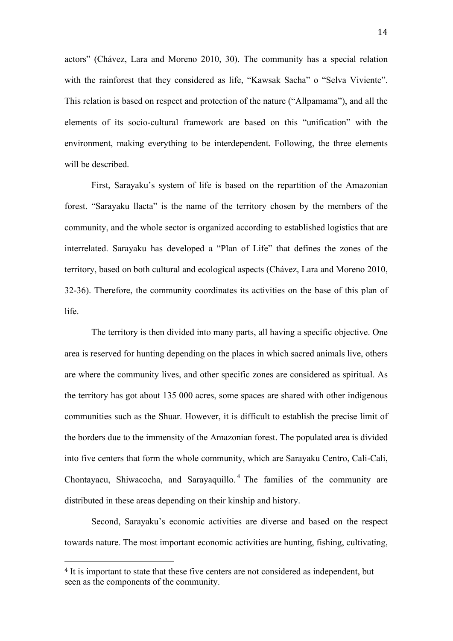actors" (Chávez, Lara and Moreno 2010, 30). The community has a special relation with the rainforest that they considered as life, "Kawsak Sacha" o "Selva Viviente". This relation is based on respect and protection of the nature ("Allpamama"), and all the elements of its socio-cultural framework are based on this "unification" with the environment, making everything to be interdependent. Following, the three elements will be described.

First, Sarayaku's system of life is based on the repartition of the Amazonian forest. "Sarayaku llacta" is the name of the territory chosen by the members of the community, and the whole sector is organized according to established logistics that are interrelated. Sarayaku has developed a "Plan of Life" that defines the zones of the territory, based on both cultural and ecological aspects (Chávez, Lara and Moreno 2010, 32-36). Therefore, the community coordinates its activities on the base of this plan of life.

The territory is then divided into many parts, all having a specific objective. One area is reserved for hunting depending on the places in which sacred animals live, others are where the community lives, and other specific zones are considered as spiritual. As the territory has got about 135 000 acres, some spaces are shared with other indigenous communities such as the Shuar. However, it is difficult to establish the precise limit of the borders due to the immensity of the Amazonian forest. The populated area is divided into five centers that form the whole community, which are Sarayaku Centro, Cali-Cali, Chontavacu, Shiwacocha, and Sarayaquillo.<sup>4</sup> The families of the community are distributed in these areas depending on their kinship and history.

Second, Sarayaku's economic activities are diverse and based on the respect towards nature. The most important economic activities are hunting, fishing, cultivating,

<sup>&</sup>lt;sup>4</sup> It is important to state that these five centers are not considered as independent, but seen as the components of the community.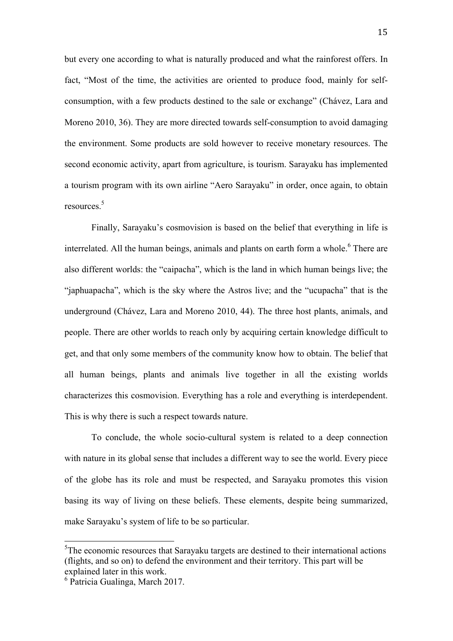but every one according to what is naturally produced and what the rainforest offers. In fact, "Most of the time, the activities are oriented to produce food, mainly for selfconsumption, with a few products destined to the sale or exchange" (Chávez, Lara and Moreno 2010, 36). They are more directed towards self-consumption to avoid damaging the environment. Some products are sold however to receive monetary resources. The second economic activity, apart from agriculture, is tourism. Sarayaku has implemented a tourism program with its own airline "Aero Sarayaku" in order, once again, to obtain resources. 5

Finally, Sarayaku's cosmovision is based on the belief that everything in life is interrelated. All the human beings, animals and plants on earth form a whole. <sup>6</sup> There are also different worlds: the "caipacha", which is the land in which human beings live; the "japhuapacha", which is the sky where the Astros live; and the "ucupacha" that is the underground (Chávez, Lara and Moreno 2010, 44). The three host plants, animals, and people. There are other worlds to reach only by acquiring certain knowledge difficult to get, and that only some members of the community know how to obtain. The belief that all human beings, plants and animals live together in all the existing worlds characterizes this cosmovision. Everything has a role and everything is interdependent. This is why there is such a respect towards nature.

To conclude, the whole socio-cultural system is related to a deep connection with nature in its global sense that includes a different way to see the world. Every piece of the globe has its role and must be respected, and Sarayaku promotes this vision basing its way of living on these beliefs. These elements, despite being summarized, make Sarayaku's system of life to be so particular.

<sup>&</sup>lt;sup>5</sup>The economic resources that Sarayaku targets are destined to their international actions (flights, and so on) to defend the environment and their territory. This part will be explained later in this work.

<sup>6</sup> Patricia Gualinga, March 2017.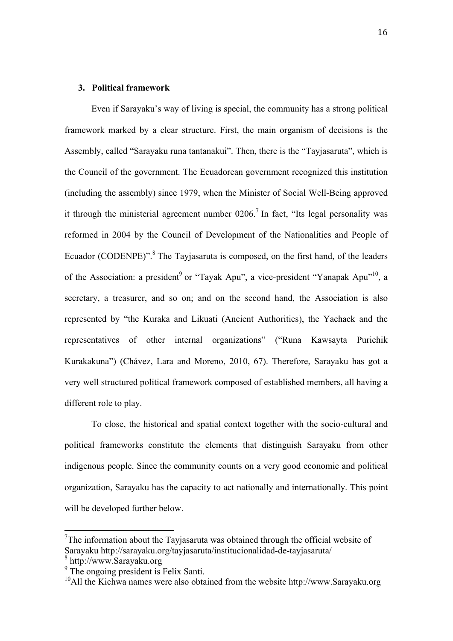#### **3. Political framework**

Even if Sarayaku's way of living is special, the community has a strong political framework marked by a clear structure. First, the main organism of decisions is the Assembly, called "Sarayaku runa tantanakui". Then, there is the "Tayjasaruta", which is the Council of the government. The Ecuadorean government recognized this institution (including the assembly) since 1979, when the Minister of Social Well-Being approved it through the ministerial agreement number  $0206$ .<sup>7</sup> In fact, "Its legal personality was reformed in 2004 by the Council of Development of the Nationalities and People of Ecuador (CODENPE)".<sup>8</sup> The Tayjasaruta is composed, on the first hand, of the leaders of the Association: a president<sup>9</sup> or "Tayak Apu", a vice-president "Yanapak Apu"<sup>10</sup>, a secretary, a treasurer, and so on; and on the second hand, the Association is also represented by "the Kuraka and Likuati (Ancient Authorities), the Yachack and the representatives of other internal organizations" ("Runa Kawsayta Purichik Kurakakuna") (Chávez, Lara and Moreno, 2010, 67). Therefore, Sarayaku has got a very well structured political framework composed of established members, all having a different role to play.

To close, the historical and spatial context together with the socio-cultural and political frameworks constitute the elements that distinguish Sarayaku from other indigenous people. Since the community counts on a very good economic and political organization, Sarayaku has the capacity to act nationally and internationally. This point will be developed further below.

<sup>&</sup>lt;sup>7</sup>The information about the Tayjasaruta was obtained through the official website of Sarayaku http://sarayaku.org/tayjasaruta/institucionalidad-de-tayjasaruta/

 $\frac{8}{9}$  http://www.Sarayaku.org<br> $\frac{9}{9}$  The ongoing president is Felix Santi.

 $^{10}$ All the Kichwa names were also obtained from the website http://www.Sarayaku.org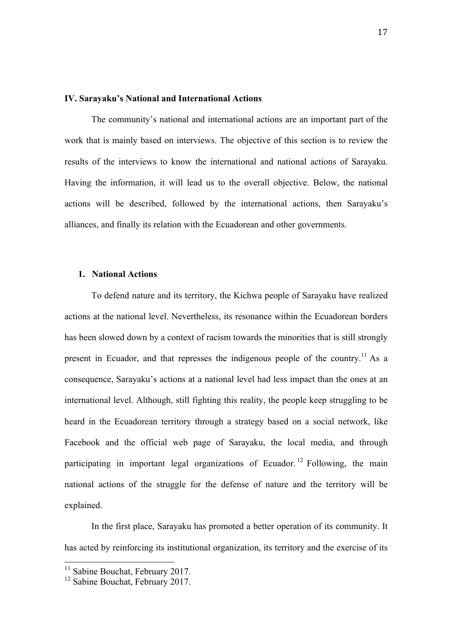#### **IV. Sarayaku's National and International Actions**

The community's national and international actions are an important part of the work that is mainly based on interviews. The objective of this section is to review the results of the interviews to know the international and national actions of Sarayaku. Having the information, it will lead us to the overall objective. Below, the national actions will be described, followed by the international actions, then Sarayaku's alliances, and finally its relation with the Ecuadorean and other governments.

#### **1. National Actions**

To defend nature and its territory, the Kichwa people of Sarayaku have realized actions at the national level. Nevertheless, its resonance within the Ecuadorean borders has been slowed down by a context of racism towards the minorities that is still strongly present in Ecuador, and that represses the indigenous people of the country.<sup>11</sup> As a consequence, Sarayaku's actions at a national level had less impact than the ones at an international level. Although, still fighting this reality, the people keep struggling to be heard in the Ecuadorean territory through a strategy based on a social network, like Facebook and the official web page of Sarayaku, the local media, and through participating in important legal organizations of Ecuador.<sup>12</sup> Following, the main national actions of the struggle for the defense of nature and the territory will be explained.

In the first place, Sarayaku has promoted a better operation of its community. It has acted by reinforcing its institutional organization, its territory and the exercise of its

<sup>&</sup>lt;sup>11</sup> Sabine Bouchat, February 2017.<br><sup>12</sup> Sabine Bouchat, February 2017.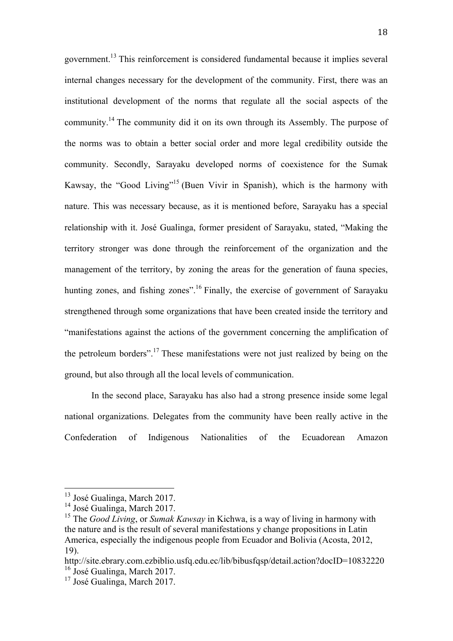government. <sup>13</sup> This reinforcement is considered fundamental because it implies several internal changes necessary for the development of the community. First, there was an institutional development of the norms that regulate all the social aspects of the community.<sup>14</sup> The community did it on its own through its Assembly. The purpose of the norms was to obtain a better social order and more legal credibility outside the community. Secondly, Sarayaku developed norms of coexistence for the Sumak Kawsay, the "Good Living"15 (Buen Vivir in Spanish), which is the harmony with nature. This was necessary because, as it is mentioned before, Sarayaku has a special relationship with it. José Gualinga, former president of Sarayaku, stated, "Making the territory stronger was done through the reinforcement of the organization and the management of the territory, by zoning the areas for the generation of fauna species, hunting zones, and fishing zones".<sup>16</sup> Finally, the exercise of government of Sarayaku strengthened through some organizations that have been created inside the territory and "manifestations against the actions of the government concerning the amplification of the petroleum borders".17 These manifestations were not just realized by being on the ground, but also through all the local levels of communication.

In the second place, Sarayaku has also had a strong presence inside some legal national organizations. Delegates from the community have been really active in the Confederation of Indigenous Nationalities of the Ecuadorean Amazon

<sup>&</sup>lt;sup>13</sup> José Gualinga, March 2017.<br><sup>14</sup> José Gualinga, March 2017.<br><sup>15</sup> The *Good Living*, or *Sumak Kawsay* in Kichwa, is a way of living in harmony with the nature and is the result of several manifestations y change propositions in Latin America, especially the indigenous people from Ecuador and Bolivia (Acosta, 2012, 19).

http://site.ebrary.com.ezbiblio.usfq.edu.ec/lib/bibusfqsp/detail.action?docID=10832220  $^{16}$  José Gualinga, March 2017.<br><sup>17</sup> José Gualinga, March 2017.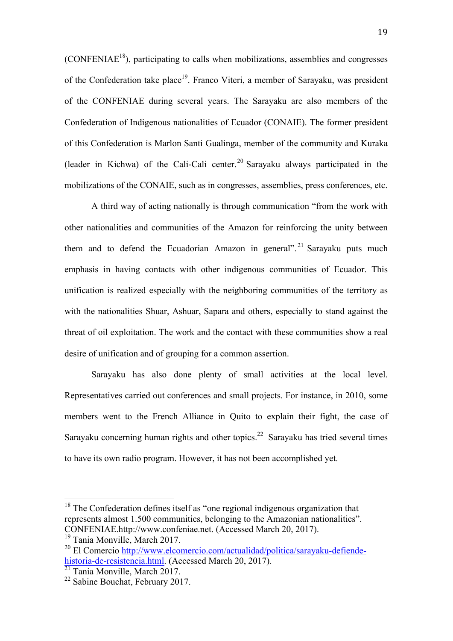$(CONFENIAE<sup>18</sup>)$ , participating to calls when mobilizations, assemblies and congresses of the Confederation take place<sup>19</sup>. Franco Viteri, a member of Sarayaku, was president of the CONFENIAE during several years. The Sarayaku are also members of the Confederation of Indigenous nationalities of Ecuador (CONAIE). The former president of this Confederation is Marlon Santi Gualinga, member of the community and Kuraka (leader in Kichwa) of the Cali-Cali center.<sup>20</sup> Sarayaku always participated in the mobilizations of the CONAIE, such as in congresses, assemblies, press conferences, etc.

A third way of acting nationally is through communication "from the work with other nationalities and communities of the Amazon for reinforcing the unity between them and to defend the Ecuadorian Amazon in general".<sup>21</sup> Sarayaku puts much emphasis in having contacts with other indigenous communities of Ecuador. This unification is realized especially with the neighboring communities of the territory as with the nationalities Shuar, Ashuar, Sapara and others, especially to stand against the threat of oil exploitation. The work and the contact with these communities show a real desire of unification and of grouping for a common assertion.

Sarayaku has also done plenty of small activities at the local level. Representatives carried out conferences and small projects. For instance, in 2010, some members went to the French Alliance in Quito to explain their fight, the case of Sarayaku concerning human rights and other topics. $22$  Sarayaku has tried several times to have its own radio program. However, it has not been accomplished yet.

 $18$  The Confederation defines itself as "one regional indigenous organization that represents almost 1.500 communities, belonging to the Amazonian nationalities". CONFENIAE.http://www.confeniae.net. (Accessed March 20, 2017).

<sup>&</sup>lt;sup>19</sup> Tania Monville, March 2017.

<sup>&</sup>lt;sup>20</sup> El Comercio http://www.elcomercio.com/actualidad/politica/sarayaku-defiendehistoria-de-resistencia.html. (Accessed March 20, 2017).

 $\frac{21}{21}$  Tania Monville, March 2017.<br><sup>22</sup> Sabine Bouchat, February 2017.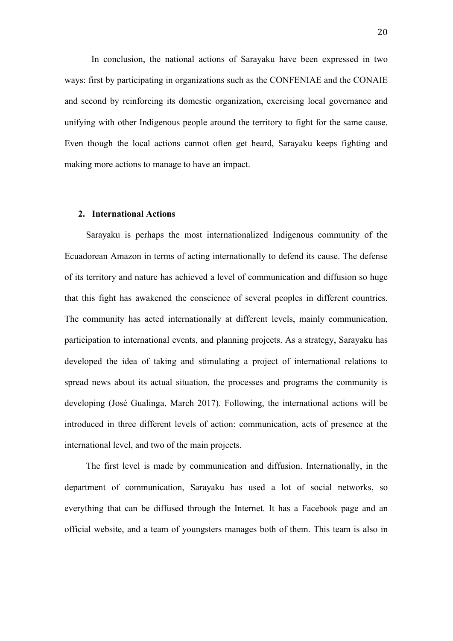In conclusion, the national actions of Sarayaku have been expressed in two ways: first by participating in organizations such as the CONFENIAE and the CONAIE and second by reinforcing its domestic organization, exercising local governance and unifying with other Indigenous people around the territory to fight for the same cause. Even though the local actions cannot often get heard, Sarayaku keeps fighting and making more actions to manage to have an impact.

#### **2. International Actions**

Sarayaku is perhaps the most internationalized Indigenous community of the Ecuadorean Amazon in terms of acting internationally to defend its cause. The defense of its territory and nature has achieved a level of communication and diffusion so huge that this fight has awakened the conscience of several peoples in different countries. The community has acted internationally at different levels, mainly communication, participation to international events, and planning projects. As a strategy, Sarayaku has developed the idea of taking and stimulating a project of international relations to spread news about its actual situation, the processes and programs the community is developing (José Gualinga, March 2017). Following, the international actions will be introduced in three different levels of action: communication, acts of presence at the international level, and two of the main projects.

The first level is made by communication and diffusion. Internationally, in the department of communication, Sarayaku has used a lot of social networks, so everything that can be diffused through the Internet. It has a Facebook page and an official website, and a team of youngsters manages both of them. This team is also in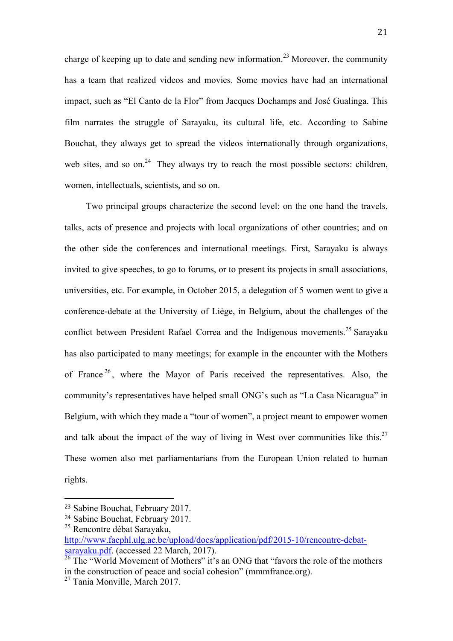charge of keeping up to date and sending new information.<sup>23</sup> Moreover, the community has a team that realized videos and movies. Some movies have had an international impact, such as "El Canto de la Flor" from Jacques Dochamps and José Gualinga. This film narrates the struggle of Sarayaku, its cultural life, etc. According to Sabine Bouchat, they always get to spread the videos internationally through organizations, web sites, and so on.<sup>24</sup> They always try to reach the most possible sectors: children, women, intellectuals, scientists, and so on.

Two principal groups characterize the second level: on the one hand the travels, talks, acts of presence and projects with local organizations of other countries; and on the other side the conferences and international meetings. First, Sarayaku is always invited to give speeches, to go to forums, or to present its projects in small associations, universities, etc. For example, in October 2015, a delegation of 5 women went to give a conference-debate at the University of Liège, in Belgium, about the challenges of the conflict between President Rafael Correa and the Indigenous movements.<sup>25</sup> Sarayaku has also participated to many meetings; for example in the encounter with the Mothers of France  $26$ , where the Mayor of Paris received the representatives. Also, the community's representatives have helped small ONG's such as "La Casa Nicaragua" in Belgium, with which they made a "tour of women", a project meant to empower women and talk about the impact of the way of living in West over communities like this.<sup>27</sup> These women also met parliamentarians from the European Union related to human rights.

<sup>23</sup> Sabine Bouchat, February 2017.

<sup>24</sup> Sabine Bouchat, February 2017. <sup>25</sup> Rencontre débat Sarayaku,

http://www.facphl.ulg.ac.be/upload/docs/application/pdf/2015-10/rencontre-debatsarayaku.pdf. (accessed 22 March, 2017).

 $\frac{26}{26}$  The "World Movement of Mothers" it's an ONG that "favors the role of the mothers" in the construction of peace and social cohesion" (mmmfrance.org).

<sup>&</sup>lt;sup>27</sup> Tania Monville, March 2017.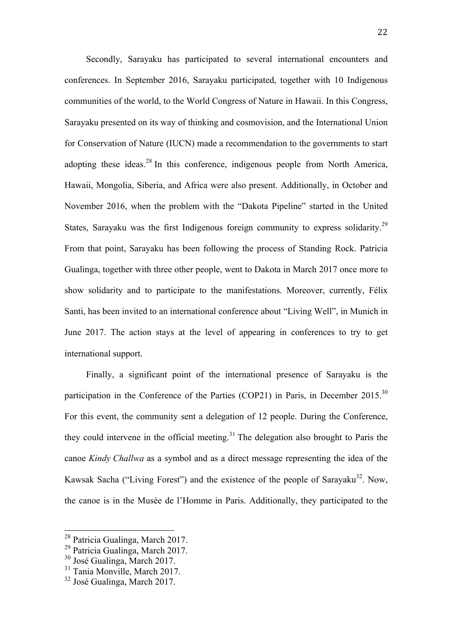Secondly, Sarayaku has participated to several international encounters and conferences. In September 2016, Sarayaku participated, together with 10 Indigenous communities of the world, to the World Congress of Nature in Hawaii. In this Congress, Sarayaku presented on its way of thinking and cosmovision, and the International Union for Conservation of Nature (IUCN) made a recommendation to the governments to start adopting these ideas.<sup>28</sup> In this conference, indigenous people from North America, Hawaii, Mongolia, Siberia, and Africa were also present. Additionally, in October and November 2016, when the problem with the "Dakota Pipeline" started in the United States, Sarayaku was the first Indigenous foreign community to express solidarity.<sup>29</sup> From that point, Sarayaku has been following the process of Standing Rock. Patricia Gualinga, together with three other people, went to Dakota in March 2017 once more to show solidarity and to participate to the manifestations. Moreover, currently, Félix Santi, has been invited to an international conference about "Living Well", in Munich in June 2017. The action stays at the level of appearing in conferences to try to get international support.

Finally, a significant point of the international presence of Sarayaku is the participation in the Conference of the Parties (COP21) in Paris, in December 2015.<sup>30</sup> For this event, the community sent a delegation of 12 people. During the Conference, they could intervene in the official meeting. <sup>31</sup> The delegation also brought to Paris the canoe *Kindy Challwa* as a symbol and as a direct message representing the idea of the Kawsak Sacha ("Living Forest") and the existence of the people of Sarayaku<sup>32</sup>. Now, the canoe is in the Musée de l'Homme in Paris. Additionally, they participated to the

<sup>&</sup>lt;sup>28</sup> Patricia Gualinga, March 2017.<br><sup>29</sup> Patricia Gualinga, March 2017.<br><sup>30</sup> José Gualinga, March 2017.<br><sup>31</sup> Tania Monville, March 2017.<br><sup>32</sup> José Gualinga, March 2017.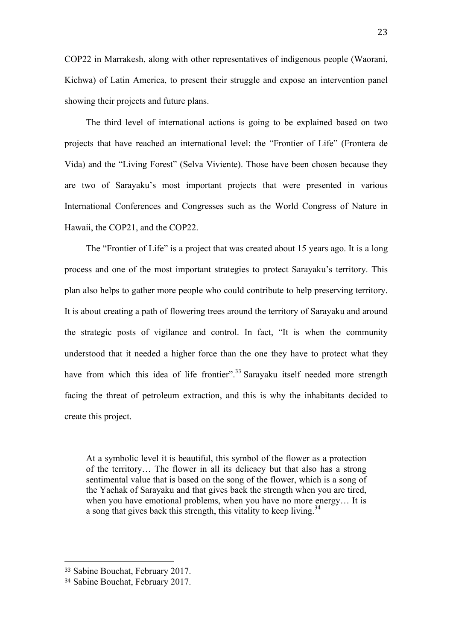COP22 in Marrakesh, along with other representatives of indigenous people (Waorani, Kichwa) of Latin America, to present their struggle and expose an intervention panel showing their projects and future plans.

The third level of international actions is going to be explained based on two projects that have reached an international level: the "Frontier of Life" (Frontera de Vida) and the "Living Forest" (Selva Viviente). Those have been chosen because they are two of Sarayaku's most important projects that were presented in various International Conferences and Congresses such as the World Congress of Nature in Hawaii, the COP21, and the COP22.

The "Frontier of Life" is a project that was created about 15 years ago. It is a long process and one of the most important strategies to protect Sarayaku's territory. This plan also helps to gather more people who could contribute to help preserving territory. It is about creating a path of flowering trees around the territory of Sarayaku and around the strategic posts of vigilance and control. In fact, "It is when the community understood that it needed a higher force than the one they have to protect what they have from which this idea of life frontier".<sup>33</sup> Sarayaku itself needed more strength facing the threat of petroleum extraction, and this is why the inhabitants decided to create this project.

At a symbolic level it is beautiful, this symbol of the flower as a protection of the territory… The flower in all its delicacy but that also has a strong sentimental value that is based on the song of the flower, which is a song of the Yachak of Sarayaku and that gives back the strength when you are tired, when you have emotional problems, when you have no more energy… It is a song that gives back this strength, this vitality to keep living.<sup>34</sup>

<sup>33</sup> Sabine Bouchat, February 2017.

<sup>34</sup> Sabine Bouchat, February 2017.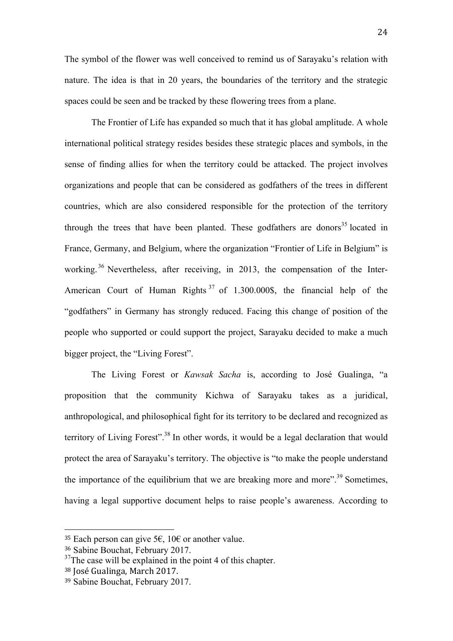The symbol of the flower was well conceived to remind us of Sarayaku's relation with nature. The idea is that in 20 years, the boundaries of the territory and the strategic spaces could be seen and be tracked by these flowering trees from a plane.

The Frontier of Life has expanded so much that it has global amplitude. A whole international political strategy resides besides these strategic places and symbols, in the sense of finding allies for when the territory could be attacked. The project involves organizations and people that can be considered as godfathers of the trees in different countries, which are also considered responsible for the protection of the territory through the trees that have been planted. These godfathers are donors<sup>35</sup> located in France, Germany, and Belgium, where the organization "Frontier of Life in Belgium" is working.<sup>36</sup> Nevertheless, after receiving, in 2013, the compensation of the Inter-American Court of Human Rights  $37$  of 1.300.000\$, the financial help of the "godfathers" in Germany has strongly reduced. Facing this change of position of the people who supported or could support the project, Sarayaku decided to make a much bigger project, the "Living Forest".

The Living Forest or *Kawsak Sacha* is, according to José Gualinga, "a proposition that the community Kichwa of Sarayaku takes as a juridical, anthropological, and philosophical fight for its territory to be declared and recognized as territory of Living Forest".<sup>38</sup> In other words, it would be a legal declaration that would protect the area of Sarayaku's territory. The objective is "to make the people understand the importance of the equilibrium that we are breaking more and more".<sup>39</sup> Sometimes, having a legal supportive document helps to raise people's awareness. According to

<sup>&</sup>lt;sup>35</sup> Each person can give 5 $\epsilon$ , 10 $\epsilon$  or another value.

<sup>36</sup> Sabine Bouchat, February 2017.

<sup>&</sup>lt;sup>37</sup>The case will be explained in the point 4 of this chapter.

<sup>&</sup>lt;sup>38</sup> José Gualinga, March 2017.

<sup>39</sup> Sabine Bouchat, February 2017.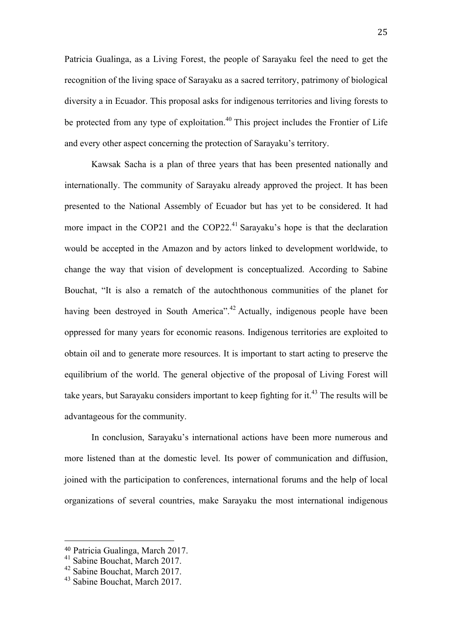Patricia Gualinga, as a Living Forest, the people of Sarayaku feel the need to get the recognition of the living space of Sarayaku as a sacred territory, patrimony of biological diversity a in Ecuador. This proposal asks for indigenous territories and living forests to be protected from any type of exploitation.<sup>40</sup> This project includes the Frontier of Life and every other aspect concerning the protection of Sarayaku's territory.

Kawsak Sacha is a plan of three years that has been presented nationally and internationally. The community of Sarayaku already approved the project. It has been presented to the National Assembly of Ecuador but has yet to be considered. It had more impact in the COP21 and the COP22.<sup>41</sup> Sarayaku's hope is that the declaration would be accepted in the Amazon and by actors linked to development worldwide, to change the way that vision of development is conceptualized. According to Sabine Bouchat, "It is also a rematch of the autochthonous communities of the planet for having been destroyed in South America".<sup>42</sup> Actually, indigenous people have been oppressed for many years for economic reasons. Indigenous territories are exploited to obtain oil and to generate more resources. It is important to start acting to preserve the equilibrium of the world. The general objective of the proposal of Living Forest will take years, but Sarayaku considers important to keep fighting for it.<sup>43</sup> The results will be advantageous for the community.

In conclusion, Sarayaku's international actions have been more numerous and more listened than at the domestic level. Its power of communication and diffusion, joined with the participation to conferences, international forums and the help of local organizations of several countries, make Sarayaku the most international indigenous

<sup>40</sup> Patricia Gualinga, March 2017.<br>
<sup>41</sup> Sabine Bouchat, March 2017.<br>
<sup>43</sup> Sabine Bouchat, March 2017.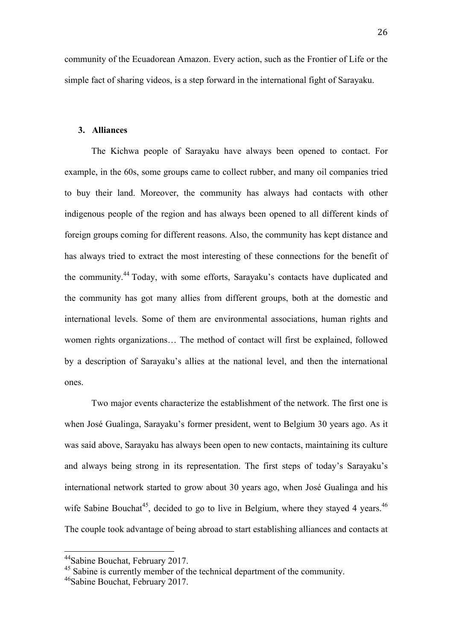community of the Ecuadorean Amazon. Every action, such as the Frontier of Life or the simple fact of sharing videos, is a step forward in the international fight of Sarayaku.

#### **3. Alliances**

The Kichwa people of Sarayaku have always been opened to contact. For example, in the 60s, some groups came to collect rubber, and many oil companies tried to buy their land. Moreover, the community has always had contacts with other indigenous people of the region and has always been opened to all different kinds of foreign groups coming for different reasons. Also, the community has kept distance and has always tried to extract the most interesting of these connections for the benefit of the community.<sup>44</sup> Today, with some efforts, Sarayaku's contacts have duplicated and the community has got many allies from different groups, both at the domestic and international levels. Some of them are environmental associations, human rights and women rights organizations… The method of contact will first be explained, followed by a description of Sarayaku's allies at the national level, and then the international ones.

Two major events characterize the establishment of the network. The first one is when José Gualinga, Sarayaku's former president, went to Belgium 30 years ago. As it was said above, Sarayaku has always been open to new contacts, maintaining its culture and always being strong in its representation. The first steps of today's Sarayaku's international network started to grow about 30 years ago, when José Gualinga and his wife Sabine Bouchat<sup>45</sup>, decided to go to live in Belgium, where they stayed 4 years.<sup>46</sup> The couple took advantage of being abroad to start establishing alliances and contacts at

<sup>&</sup>lt;sup>44</sup>Sabine Bouchat, February 2017.<br><sup>45</sup> Sabine is currently member of the technical department of the community.<br><sup>46</sup>Sabine Bouchat, February 2017.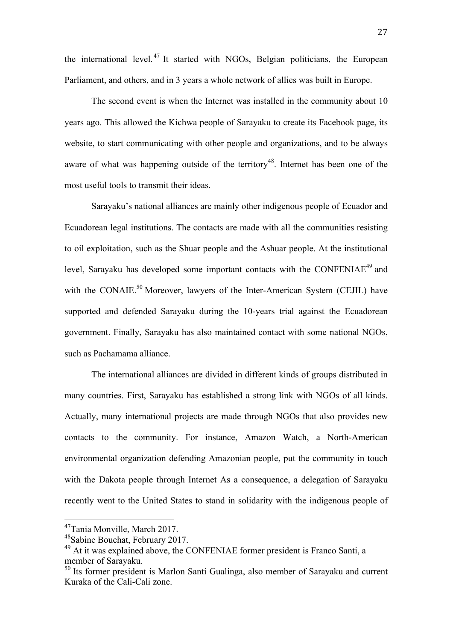the international level.<sup>47</sup> It started with NGOs, Belgian politicians, the European Parliament, and others, and in 3 years a whole network of allies was built in Europe.

The second event is when the Internet was installed in the community about 10 years ago. This allowed the Kichwa people of Sarayaku to create its Facebook page, its website, to start communicating with other people and organizations, and to be always aware of what was happening outside of the territory<sup>48</sup>. Internet has been one of the most useful tools to transmit their ideas.

Sarayaku's national alliances are mainly other indigenous people of Ecuador and Ecuadorean legal institutions. The contacts are made with all the communities resisting to oil exploitation, such as the Shuar people and the Ashuar people. At the institutional level, Sarayaku has developed some important contacts with the CONFENIAE<sup>49</sup> and with the CONAIE.<sup>50</sup> Moreover, lawyers of the Inter-American System (CEJIL) have supported and defended Sarayaku during the 10-years trial against the Ecuadorean government. Finally, Sarayaku has also maintained contact with some national NGOs, such as Pachamama alliance.

The international alliances are divided in different kinds of groups distributed in many countries. First, Sarayaku has established a strong link with NGOs of all kinds. Actually, many international projects are made through NGOs that also provides new contacts to the community. For instance, Amazon Watch, a North-American environmental organization defending Amazonian people, put the community in touch with the Dakota people through Internet As a consequence, a delegation of Sarayaku recently went to the United States to stand in solidarity with the indigenous people of

<sup>&</sup>lt;sup>47</sup>Tania Monville, March 2017.<br><sup>48</sup>Sabine Bouchat, February 2017.<br><sup>49</sup> At it was explained above, the CONFENIAE former president is Franco Santi, a member of Sarayaku.<br><sup>50</sup> Its former president is Marlon Santi Gualinga, also member of Sarayaku and current

Kuraka of the Cali-Cali zone.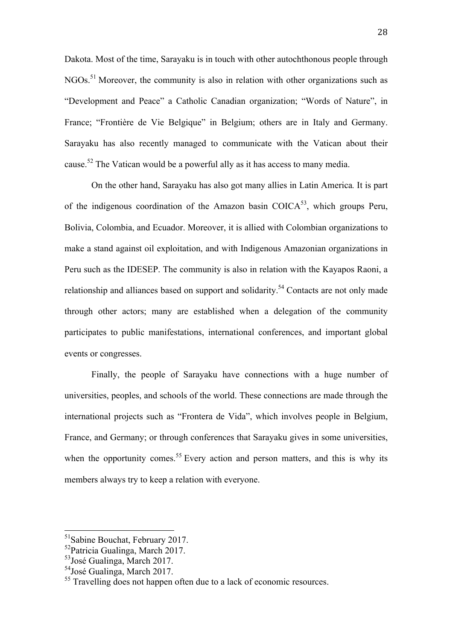Dakota. Most of the time, Sarayaku is in touch with other autochthonous people through NGOs.<sup>51</sup> Moreover, the community is also in relation with other organizations such as "Development and Peace" a Catholic Canadian organization; "Words of Nature", in France; "Frontière de Vie Belgique" in Belgium; others are in Italy and Germany. Sarayaku has also recently managed to communicate with the Vatican about their cause.<sup>52</sup> The Vatican would be a powerful ally as it has access to many media.

On the other hand, Sarayaku has also got many allies in Latin America*.* It is part of the indigenous coordination of the Amazon basin  $\text{COICA}^{53}$ , which groups Peru, Bolivia, Colombia, and Ecuador. Moreover, it is allied with Colombian organizations to make a stand against oil exploitation, and with Indigenous Amazonian organizations in Peru such as the IDESEP. The community is also in relation with the Kayapos Raoni, a relationship and alliances based on support and solidarity.<sup>54</sup> Contacts are not only made through other actors; many are established when a delegation of the community participates to public manifestations, international conferences, and important global events or congresses.

Finally, the people of Sarayaku have connections with a huge number of universities, peoples, and schools of the world. These connections are made through the international projects such as "Frontera de Vida", which involves people in Belgium, France, and Germany; or through conferences that Sarayaku gives in some universities, when the opportunity comes.<sup>55</sup> Every action and person matters, and this is why its members always try to keep a relation with everyone.

 51Sabine Bouchat, February 2017.

<sup>52</sup>Patricia Gualinga, March 2017.

<sup>&</sup>lt;sup>53</sup>José Gualinga, March 2017.

<sup>54</sup>José Gualinga, March 2017.

<sup>&</sup>lt;sup>55</sup> Travelling does not happen often due to a lack of economic resources.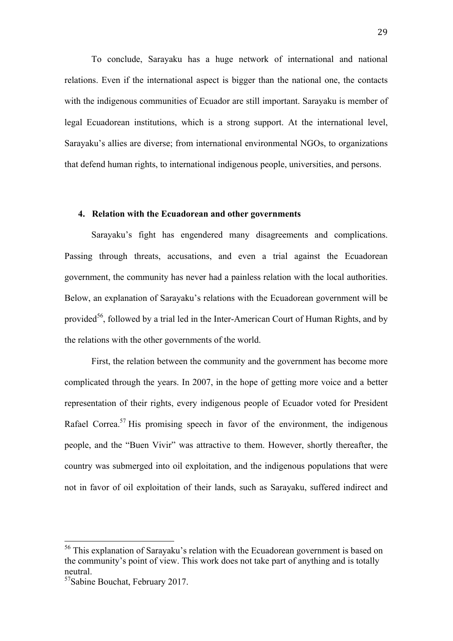To conclude, Sarayaku has a huge network of international and national relations. Even if the international aspect is bigger than the national one, the contacts with the indigenous communities of Ecuador are still important. Sarayaku is member of legal Ecuadorean institutions, which is a strong support. At the international level, Sarayaku's allies are diverse; from international environmental NGOs, to organizations that defend human rights, to international indigenous people, universities, and persons.

#### **4. Relation with the Ecuadorean and other governments**

Sarayaku's fight has engendered many disagreements and complications. Passing through threats, accusations, and even a trial against the Ecuadorean government, the community has never had a painless relation with the local authorities. Below, an explanation of Sarayaku's relations with the Ecuadorean government will be provided<sup>56</sup>, followed by a trial led in the Inter-American Court of Human Rights, and by the relations with the other governments of the world.

First, the relation between the community and the government has become more complicated through the years. In 2007, in the hope of getting more voice and a better representation of their rights, every indigenous people of Ecuador voted for President Rafael Correa.<sup>57</sup> His promising speech in favor of the environment, the indigenous people, and the "Buen Vivir" was attractive to them. However, shortly thereafter, the country was submerged into oil exploitation, and the indigenous populations that were not in favor of oil exploitation of their lands, such as Sarayaku, suffered indirect and

<sup>&</sup>lt;sup>56</sup> This explanation of Sarayaku's relation with the Ecuadorean government is based on the community's point of view. This work does not take part of anything and is totally neutral.

<sup>57</sup>Sabine Bouchat, February 2017.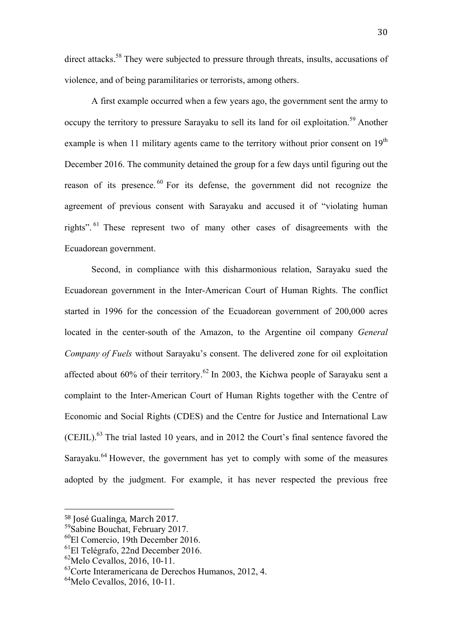direct attacks.<sup>58</sup> They were subjected to pressure through threats, insults, accusations of violence, and of being paramilitaries or terrorists, among others.

A first example occurred when a few years ago, the government sent the army to occupy the territory to pressure Sarayaku to sell its land for oil exploitation.<sup>59</sup> Another example is when 11 military agents came to the territory without prior consent on 19<sup>th</sup> December 2016. The community detained the group for a few days until figuring out the reason of its presence.<sup>60</sup> For its defense, the government did not recognize the agreement of previous consent with Sarayaku and accused it of "violating human rights".<sup>61</sup> These represent two of many other cases of disagreements with the Ecuadorean government.

Second, in compliance with this disharmonious relation, Sarayaku sued the Ecuadorean government in the Inter-American Court of Human Rights. The conflict started in 1996 for the concession of the Ecuadorean government of 200,000 acres located in the center-south of the Amazon, to the Argentine oil company *General Company of Fuels* without Sarayaku's consent. The delivered zone for oil exploitation affected about 60% of their territory.<sup>62</sup> In 2003, the Kichwa people of Sarayaku sent a complaint to the Inter-American Court of Human Rights together with the Centre of Economic and Social Rights (CDES) and the Centre for Justice and International Law (CEJIL).<sup>63</sup> The trial lasted 10 years, and in 2012 the Court's final sentence favored the Sarayaku.<sup>64</sup> However, the government has yet to comply with some of the measures adopted by the judgment. For example, it has never respected the previous free

 58 José Gualinga, March 2017.

<sup>59</sup>Sabine Bouchat, February 2017.

<sup>60</sup>El Comercio, 19th December 2016.

 ${}^{61}$ El Telégrafo, 22nd December 2016.

 $^{62}$ Melo Cevallos, 2016, 10-11.

<sup>63</sup>Corte Interamericana de Derechos Humanos, 2012, 4.

 $^{64}$ Melo Cevallos, 2016, 10-11.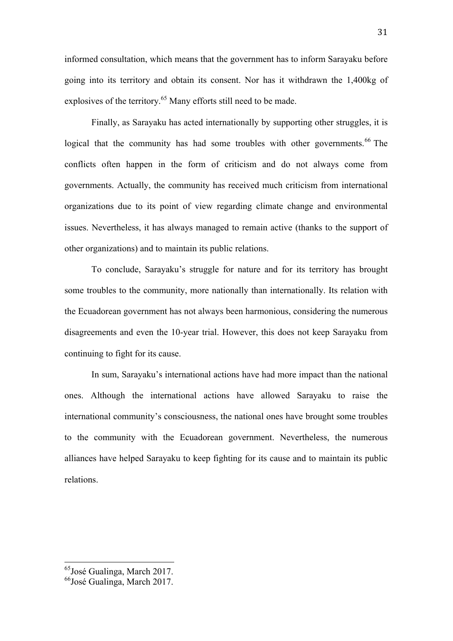informed consultation, which means that the government has to inform Sarayaku before going into its territory and obtain its consent. Nor has it withdrawn the 1,400kg of explosives of the territory.<sup>65</sup> Many efforts still need to be made.

Finally, as Sarayaku has acted internationally by supporting other struggles, it is logical that the community has had some troubles with other governments.<sup>66</sup> The conflicts often happen in the form of criticism and do not always come from governments. Actually, the community has received much criticism from international organizations due to its point of view regarding climate change and environmental issues. Nevertheless, it has always managed to remain active (thanks to the support of other organizations) and to maintain its public relations.

To conclude, Sarayaku's struggle for nature and for its territory has brought some troubles to the community, more nationally than internationally. Its relation with the Ecuadorean government has not always been harmonious, considering the numerous disagreements and even the 10-year trial. However, this does not keep Sarayaku from continuing to fight for its cause.

In sum, Sarayaku's international actions have had more impact than the national ones. Although the international actions have allowed Sarayaku to raise the international community's consciousness, the national ones have brought some troubles to the community with the Ecuadorean government. Nevertheless, the numerous alliances have helped Sarayaku to keep fighting for its cause and to maintain its public relations.

 65José Gualinga, March 2017.

<sup>66</sup>José Gualinga, March 2017.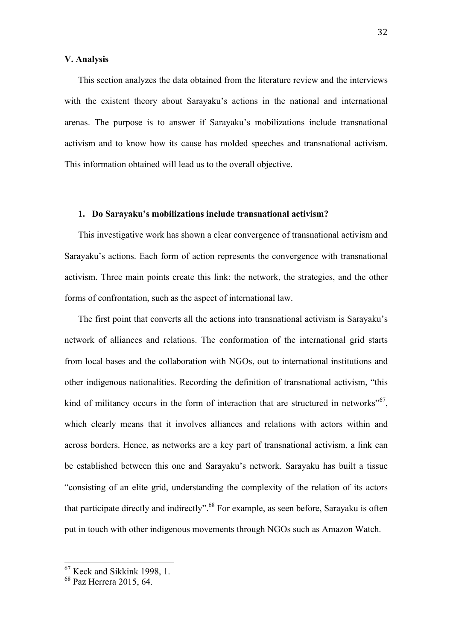#### **V. Analysis**

This section analyzes the data obtained from the literature review and the interviews with the existent theory about Sarayaku's actions in the national and international arenas. The purpose is to answer if Sarayaku's mobilizations include transnational activism and to know how its cause has molded speeches and transnational activism. This information obtained will lead us to the overall objective.

#### **1. Do Sarayaku's mobilizations include transnational activism?**

This investigative work has shown a clear convergence of transnational activism and Sarayaku's actions. Each form of action represents the convergence with transnational activism. Three main points create this link: the network, the strategies, and the other forms of confrontation, such as the aspect of international law.

The first point that converts all the actions into transnational activism is Sarayaku's network of alliances and relations. The conformation of the international grid starts from local bases and the collaboration with NGOs, out to international institutions and other indigenous nationalities. Recording the definition of transnational activism, "this kind of militancy occurs in the form of interaction that are structured in networks<sup> $.567$ </sup>, which clearly means that it involves alliances and relations with actors within and across borders. Hence, as networks are a key part of transnational activism, a link can be established between this one and Sarayaku's network. Sarayaku has built a tissue "consisting of an elite grid, understanding the complexity of the relation of its actors that participate directly and indirectly".<sup>68</sup> For example, as seen before, Sarayaku is often put in touch with other indigenous movements through NGOs such as Amazon Watch.

 $^{67}$  Keck and Sikkink 1998, 1.<br> $^{68}$  Paz Herrera 2015, 64.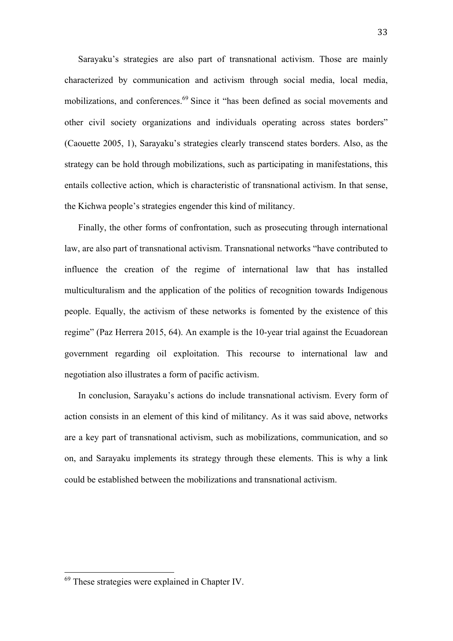Sarayaku's strategies are also part of transnational activism. Those are mainly characterized by communication and activism through social media, local media, mobilizations, and conferences. <sup>69</sup> Since it "has been defined as social movements and other civil society organizations and individuals operating across states borders" (Caouette 2005, 1), Sarayaku's strategies clearly transcend states borders. Also, as the strategy can be hold through mobilizations, such as participating in manifestations, this entails collective action, which is characteristic of transnational activism. In that sense, the Kichwa people's strategies engender this kind of militancy.

Finally, the other forms of confrontation, such as prosecuting through international law, are also part of transnational activism. Transnational networks "have contributed to influence the creation of the regime of international law that has installed multiculturalism and the application of the politics of recognition towards Indigenous people. Equally, the activism of these networks is fomented by the existence of this regime" (Paz Herrera 2015, 64). An example is the 10-year trial against the Ecuadorean government regarding oil exploitation. This recourse to international law and negotiation also illustrates a form of pacific activism.

In conclusion, Sarayaku's actions do include transnational activism. Every form of action consists in an element of this kind of militancy. As it was said above, networks are a key part of transnational activism, such as mobilizations, communication, and so on, and Sarayaku implements its strategy through these elements. This is why a link could be established between the mobilizations and transnational activism.

 <sup>69</sup> These strategies were explained in Chapter IV.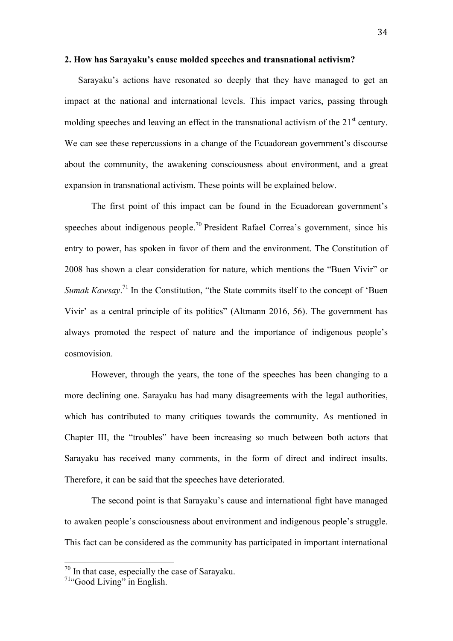#### **2. How has Sarayaku's cause molded speeches and transnational activism?**

Sarayaku's actions have resonated so deeply that they have managed to get an impact at the national and international levels. This impact varies, passing through molding speeches and leaving an effect in the transnational activism of the  $21<sup>st</sup>$  century. We can see these repercussions in a change of the Ecuadorean government's discourse about the community, the awakening consciousness about environment, and a great expansion in transnational activism. These points will be explained below.

The first point of this impact can be found in the Ecuadorean government's speeches about indigenous people.<sup>70</sup> President Rafael Correa's government, since his entry to power, has spoken in favor of them and the environment. The Constitution of 2008 has shown a clear consideration for nature, which mentions the "Buen Vivir" or *Sumak Kawsay*.<sup>71</sup> In the Constitution, "the State commits itself to the concept of 'Buen Vivir' as a central principle of its politics" (Altmann 2016, 56). The government has always promoted the respect of nature and the importance of indigenous people's cosmovision.

However, through the years, the tone of the speeches has been changing to a more declining one. Sarayaku has had many disagreements with the legal authorities, which has contributed to many critiques towards the community. As mentioned in Chapter III, the "troubles" have been increasing so much between both actors that Sarayaku has received many comments, in the form of direct and indirect insults. Therefore, it can be said that the speeches have deteriorated.

The second point is that Sarayaku's cause and international fight have managed to awaken people's consciousness about environment and indigenous people's struggle. This fact can be considered as the community has participated in important international

 $70 \text{ In that case, especially the case of Sarayaku.}$ <br> $71 \text{``Good Living''}$  in English.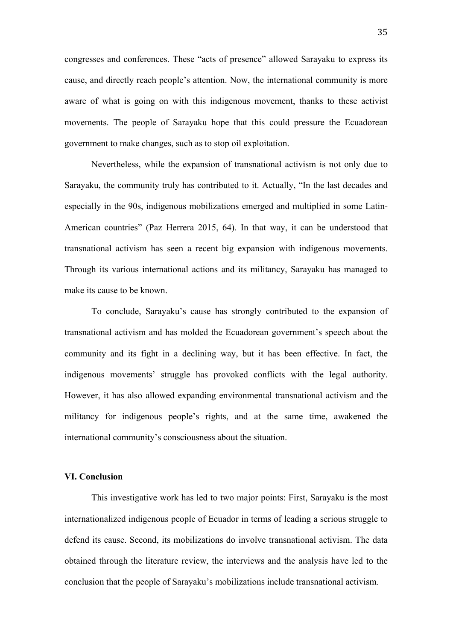congresses and conferences. These "acts of presence" allowed Sarayaku to express its cause, and directly reach people's attention. Now, the international community is more aware of what is going on with this indigenous movement, thanks to these activist movements. The people of Sarayaku hope that this could pressure the Ecuadorean government to make changes, such as to stop oil exploitation.

Nevertheless, while the expansion of transnational activism is not only due to Sarayaku, the community truly has contributed to it. Actually, "In the last decades and especially in the 90s, indigenous mobilizations emerged and multiplied in some Latin-American countries" (Paz Herrera 2015, 64). In that way, it can be understood that transnational activism has seen a recent big expansion with indigenous movements. Through its various international actions and its militancy, Sarayaku has managed to make its cause to be known.

To conclude, Sarayaku's cause has strongly contributed to the expansion of transnational activism and has molded the Ecuadorean government's speech about the community and its fight in a declining way, but it has been effective. In fact, the indigenous movements' struggle has provoked conflicts with the legal authority. However, it has also allowed expanding environmental transnational activism and the militancy for indigenous people's rights, and at the same time, awakened the international community's consciousness about the situation.

#### **VI. Conclusion**

This investigative work has led to two major points: First, Sarayaku is the most internationalized indigenous people of Ecuador in terms of leading a serious struggle to defend its cause. Second, its mobilizations do involve transnational activism. The data obtained through the literature review, the interviews and the analysis have led to the conclusion that the people of Sarayaku's mobilizations include transnational activism.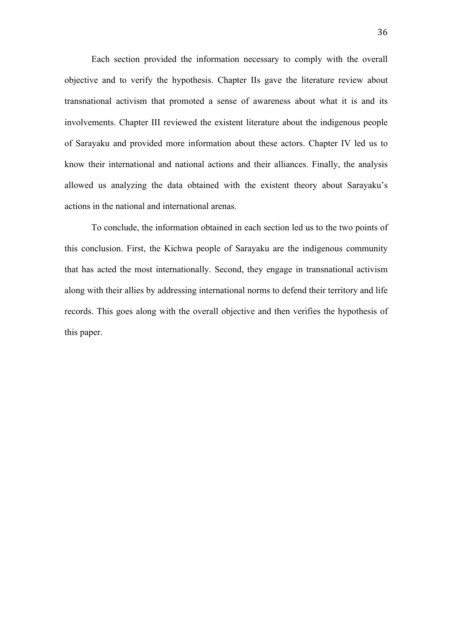Each section provided the information necessary to comply with the overall objective and to verify the hypothesis. Chapter IIs gave the literature review about transnational activism that promoted a sense of awareness about what it is and its involvements. Chapter III reviewed the existent literature about the indigenous people of Sarayaku and provided more information about these actors. Chapter IV led us to know their international and national actions and their alliances. Finally, the analysis allowed us analyzing the data obtained with the existent theory about Sarayaku's actions in the national and international arenas.

To conclude, the information obtained in each section led us to the two points of this conclusion. First, the Kichwa people of Sarayaku are the indigenous community that has acted the most internationally. Second, they engage in transnational activism along with their allies by addressing international norms to defend their territory and life records. This goes along with the overall objective and then verifies the hypothesis of this paper.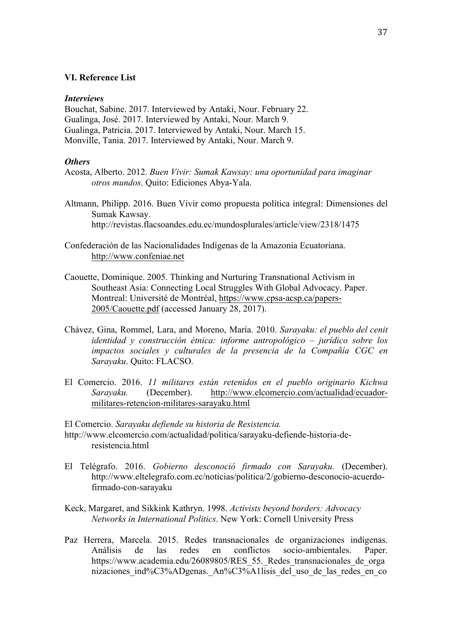#### **VI. Reference List**

#### *Interviews*

Bouchat, Sabine. 2017. Interviewed by Antaki, Nour. February 22. Gualinga, José. 2017. Interviewed by Antaki, Nour. March 9. Gualinga, Patricia. 2017. Interviewed by Antaki, Nour. March 15. Monville, Tania. 2017. Interviewed by Antaki, Nour. March 9.

#### *Others*

- Acosta, Alberto. 2012. *Buen Vivir: Sumak Kawsay: una oportunidad para imaginar otros mundos*. Quito: Ediciones Abya-Yala.
- Altmann, Philipp. 2016. Buen Vivir como propuesta política integral: Dimensiones del Sumak Kawsay. http://revistas.flacsoandes.edu.ec/mundosplurales/article/view/2318/1475
- Confederación de las Nacionalidades Indígenas de la Amazonia Ecuatoriana. http://www.confeniae.net
- Caouette, Dominique. 2005. Thinking and Nurturing Transnational Activism in Southeast Asia: Connecting Local Struggles With Global Advocacy. Paper. Montreal: Université de Montréal, https://www.cpsa-acsp.ca/papers-2005/Caouette.pdf (accessed January 28, 2017).
- Chávez, Gina, Rommel, Lara, and Moreno, María. 2010. *Sarayaku: el pueblo del cenit identidad y construcción étnica: informe antropológico – jurídico sobre los impactos sociales y culturales de la presencia de la Compañía CGC en Sarayaku*. Quito: FLACSO.
- El Comercio. 2016. *11 militares están retenidos en el pueblo originario Kichwa Sarayaku.* (December). http://www.elcomercio.com/actualidad/ecuadormilitares-retencion-militares-sarayaku.html

El Comercio. *Sarayaku defiende su historia de Resistencia.* http://www.elcomercio.com/actualidad/politica/sarayaku-defiende-historia-deresistencia.html

- El Telégrafo. 2016. *Gobierno desconoció firmado con Sarayaku.* (December). http://www.eltelegrafo.com.ec/noticias/politica/2/gobierno-desconocio-acuerdofirmado-con-sarayaku
- Keck, Margaret, and Sikkink Kathryn. 1998. *Activists beyond borders: Advocacy Networks in International Politics*. New York: Cornell University Press
- Paz Herrera, Marcela. 2015. Redes transnacionales de organizaciones indígenas. Análisis de las redes en conflictos socio-ambientales. Paper. https://www.academia.edu/26089805/RES\_55.\_Redes\_transnacionales\_de\_orga nizaciones ind%C3%ADgenas. An%C3%A1lisis del uso de las redes en co